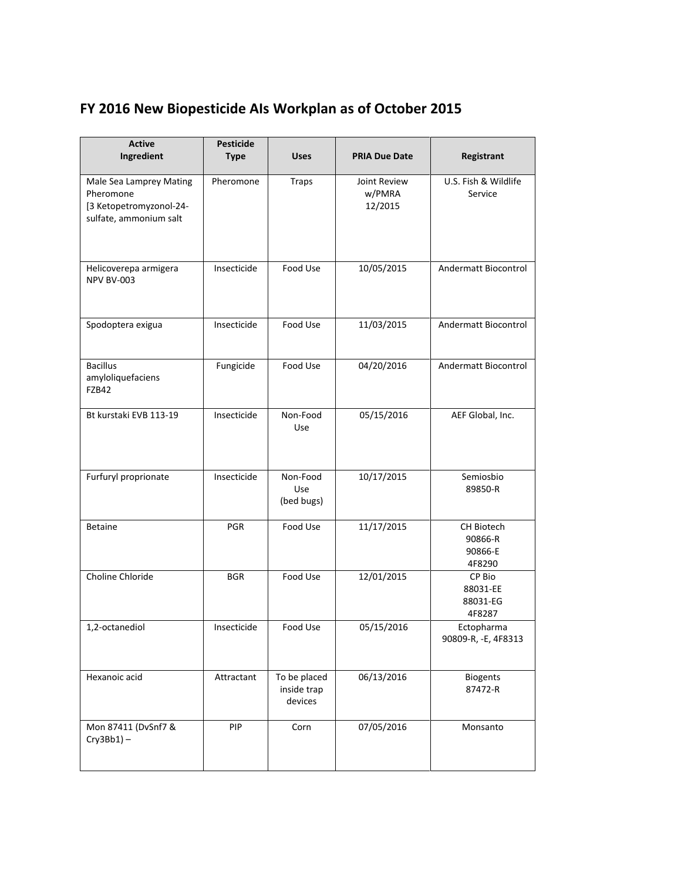## **FY 2016 New Biopesticide AIs Workplan as of October 2015**

| <b>Active</b><br>Ingredient                                                               | <b>Pesticide</b><br><b>Type</b> | <b>Uses</b>                            | <b>PRIA Due Date</b>              | Registrant                                 |
|-------------------------------------------------------------------------------------------|---------------------------------|----------------------------------------|-----------------------------------|--------------------------------------------|
| Male Sea Lamprey Mating<br>Pheromone<br>[3 Ketopetromyzonol-24-<br>sulfate, ammonium salt | Pheromone                       | <b>Traps</b>                           | Joint Review<br>w/PMRA<br>12/2015 | U.S. Fish & Wildlife<br>Service            |
| Helicoverepa armigera<br><b>NPV BV-003</b>                                                | Insecticide                     | Food Use                               | 10/05/2015                        | Andermatt Biocontrol                       |
| Spodoptera exigua                                                                         | Insecticide                     | Food Use                               | 11/03/2015                        | Andermatt Biocontrol                       |
| <b>Bacillus</b><br>amyloliquefaciens<br>FZB42                                             | Fungicide                       | Food Use                               | 04/20/2016                        | Andermatt Biocontrol                       |
| Bt kurstaki EVB 113-19                                                                    | Insecticide                     | Non-Food<br>Use                        | 05/15/2016                        | AEF Global, Inc.                           |
| Furfuryl proprionate                                                                      | Insecticide                     | Non-Food<br>Use<br>(bed bugs)          | 10/17/2015                        | Semiosbio<br>89850-R                       |
| <b>Betaine</b>                                                                            | PGR                             | Food Use                               | 11/17/2015                        | CH Biotech<br>90866-R<br>90866-E<br>4F8290 |
| Choline Chloride                                                                          | <b>BGR</b>                      | Food Use                               | 12/01/2015                        | CP Bio<br>88031-EE<br>88031-EG<br>4F8287   |
| 1,2-octanediol                                                                            | Insecticide                     | Food Use                               | 05/15/2016                        | Ectopharma<br>90809-R, -E, 4F8313          |
| Hexanoic acid                                                                             | Attractant                      | To be placed<br>inside trap<br>devices | 06/13/2016                        | <b>Biogents</b><br>87472-R                 |
| Mon 87411 (DvSnf7 &<br>$Cry3Bb1$ ) -                                                      | PIP                             | Corn                                   | 07/05/2016                        | Monsanto                                   |